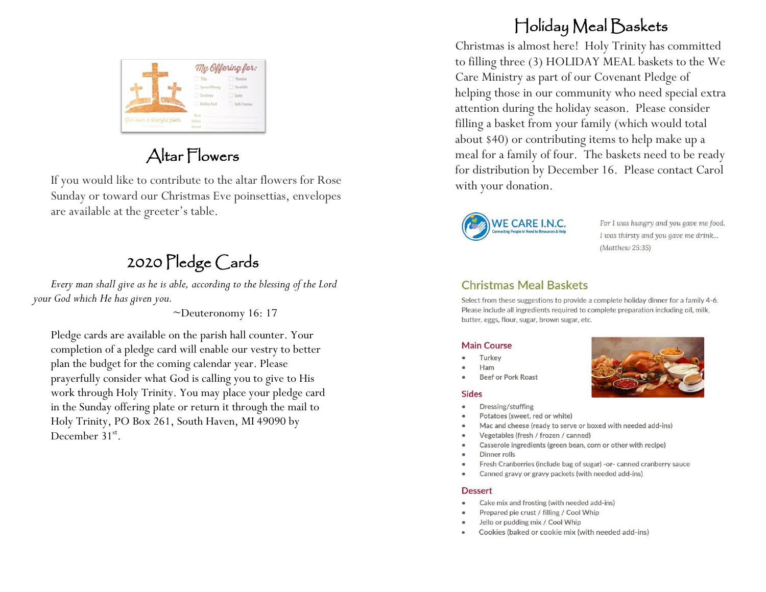

### Altar Flowers

If you would like to contribute to the altar flowers for Rose Sunday or toward our Christmas Eve poinsettias, envelopes are available at the greeter's table.

### 2020 Pledge Cards

*Every man shall give as he is able, according to the blessing of the Lord your God which He has given you.*

*~*Deuteronomy 16: 17

Pledge cards are available on the parish hall counter. Your completion of a pledge card will enable our vestry to better plan the budget for the coming calendar year. Please prayerfully consider what God is calling you to give to His work through Holy Trinity. You may place your pledge card in the Sunday offering plate or return it through the mail to Holy Trinity, PO Box 261, South Haven, MI 49090 by December 31<sup>st</sup>.

### Holiday Meal Baskets

Christmas is almost here! Holy Trinity has committed to filling three (3) HOLIDAY MEAL baskets to the We Care Ministry as part of our Covenant Pledge of helping those in our community who need special extra attention during the holiday season. Please consider filling a basket from your family (which would total about \$40) or contributing items to help make up a meal for a family of four. The baskets need to be ready for distribution by December 16. Please contact Carol with your donation.



For I was hungry and you gave me food, I was thirsty and you gave me drink... (Matthew 25:35)

#### **Christmas Meal Baskets**

Select from these suggestions to provide a complete holiday dinner for a family 4-6. Please include all ingredients required to complete preparation including oil, milk, butter, eggs, flour, sugar, brown sugar, etc.

#### **Main Course**

- Turkey
- Ham
- **Beef or Pork Roast**

#### **Sides**

- Dressing/stuffing  $\bullet$
- Potatoes (sweet, red or white)
- Mac and cheese (ready to serve or boxed with needed add-ins)
- Vegetables (fresh / frozen / canned)
- Casserole ingredients (green bean, corn or other with recipe)  $\bullet$
- Dinner rolls  $\bullet$
- Fresh Cranberries (include bag of sugar) -or- canned cranberry sauce  $\bullet$
- Canned gravy or gravy packets (with needed add-ins)

#### **Dessert**

- Cake mix and frosting (with needed add-ins)
- Prepared pie crust / filling / Cool Whip
- Jello or pudding mix / Cool Whip
- Cookies (baked or cookie mix (with needed add-ins)

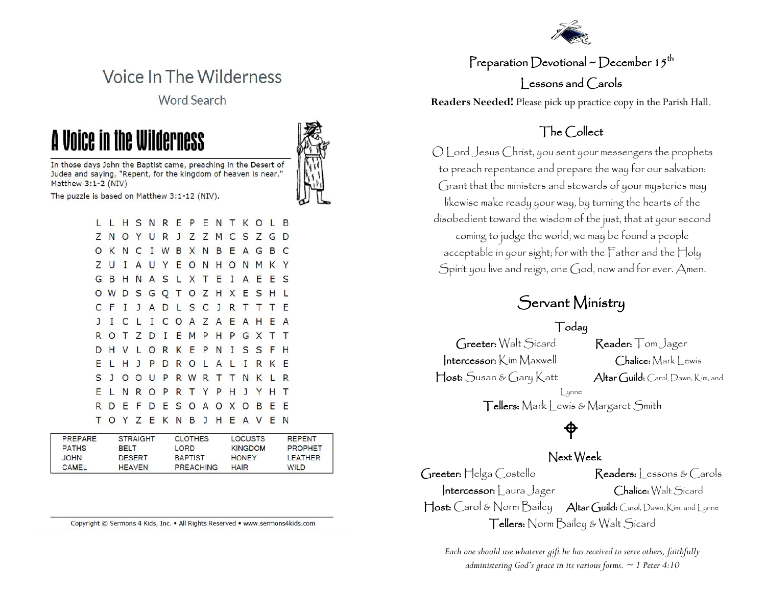

# Voice In The Wilderness

**Word Search** 

# A Voice in the Wilderness

In those days John the Baptist came, preaching in the Desert of Judea and saying, "Repent, for the kingdom of heaven is near." Matthew 3:1-2 (NIV)



|     |  | LLHSNREPENTKOLB               |  |  |  |     |              |  |
|-----|--|-------------------------------|--|--|--|-----|--------------|--|
|     |  | Z N O Y U R J Z Z M C S Z G D |  |  |  |     |              |  |
|     |  | O K N C I W B X N B E A G B C |  |  |  |     |              |  |
| Z U |  | I A U Y E O N H O N M K Y     |  |  |  |     |              |  |
|     |  | G B H N A S L X T E I A E E S |  |  |  |     |              |  |
|     |  | O W D S G Q T O Z H X E S H L |  |  |  |     |              |  |
|     |  | C F I J A D L S C J R T T T E |  |  |  |     |              |  |
|     |  | J I C L I C O A Z A E A H E A |  |  |  |     |              |  |
|     |  | R O T Z D I E M P H P G X T   |  |  |  |     | $\mathsf{T}$ |  |
|     |  | D H V L O R K E P N I S S F   |  |  |  |     | н            |  |
|     |  | E L H J P D R O L A L I       |  |  |  | R K | E            |  |
|     |  | S J O O U P R W R T T N K L R |  |  |  |     |              |  |
|     |  | ELNROPRTYPHJYHT               |  |  |  |     |              |  |
|     |  | R D E F D E S O A O X O B E E |  |  |  |     |              |  |
|     |  | T O Y Z E K N B J H E A V E N |  |  |  |     |              |  |
|     |  |                               |  |  |  |     |              |  |

| JOHN.<br>CAMEL | <b>DESERT</b><br><b>HEAVEN</b> | <b>BAPTIST</b><br>PREACHING | <b>HONEY</b><br><b>HAIR</b> | <b>LEATHER</b><br>WILD |
|----------------|--------------------------------|-----------------------------|-----------------------------|------------------------|
| <b>PATHS</b>   | <b>BELT</b>                    | LORD.                       | KINGDOM                     | <b>PROPHET</b>         |
| PREPARE        | <b>STRAIGHT</b>                | <b>CLOTHES</b>              | LOCUSTS                     | <b>REPENT</b>          |

Copyright © Sermons 4 Kids, Inc. . All Rights Reserved . www.sermons4kids.com

Preparation Devotional ~ December 15<sup>th</sup>

 $l$  essons and  $C$  arols

**Readers Needed!** Please pick up practice copy in the Parish Hall.

#### The Collect

 $\bigcirc$  | ord Jesus Christ, you sent your messengers the prophets to preach repentance and prepare the way for our salvation: Grant that the ministers and stewards of your mysteries may likewise make ready your way, by turning the hearts of the disobedient toward the wisdom of the just, that at your second coming to judge the world, we may be found a people acceptable in your sight; for with the Father and the Holy Spirit you live and reign, one God, now and for ever. Amen.

#### Servant Ministry

#### Today

Greeter: Walt Sicard Reader: Tom Jager Intercessor: Kim Maxwell Chalice: Mark Lewis Host: Susan & Gary Katt Altar Guild: Carol, Dawn, Kim, and Lynne

Tellers: Mark Lewis & Margaret Smith

### ₱

#### Next Week

Greeter: Helga Costello Readers: Lessons & Carols Intercessor: Laura Jager Chalice: Walt Sicard Host: Carol & Norm Bailey Altar Guild: Carol, Dawn, Kim, and Lynne Tellers: Norm Bailey & Walt Sicard

*Each one should use whatever gift he has received to serve others, faithfully administering God's grace in its various forms. ~ 1 Peter 4:10*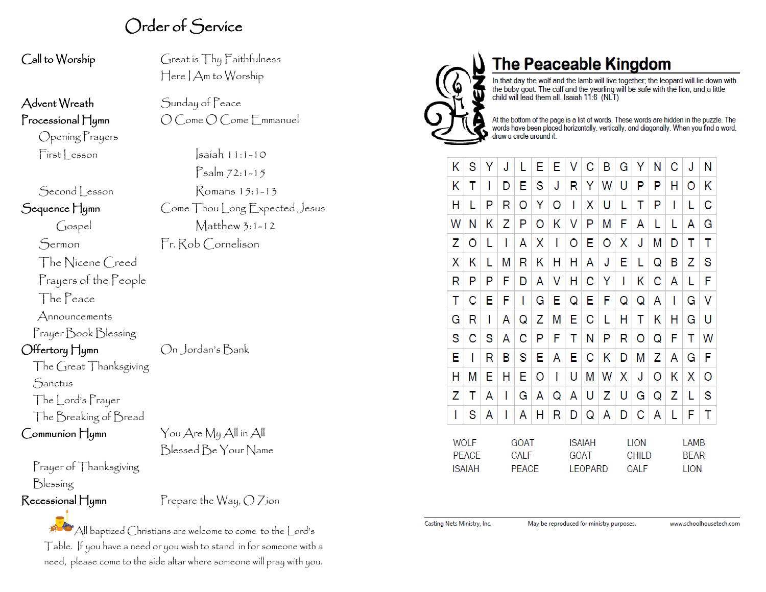#### Order of Service

Here I Am to Worship

Psalm 72:1-15

#### Call to Worship Great is Thy Faithfulness

Advent Wreath Sunday of Peace Processional Hymn  $O$  Come O Come Emmanuel

Opening Prayers  $First  $|$  esson  $|$  saiah 11:1-10$ 

Second Lesson Romans 15:1-13

Sequence Hymn Come Thou Long Expected Jesus

Gospel Matthew 3:1-12

Sermon Fr. Rob Cornelison

The Nicene Creed

Prayers of the People

The Peace

Announcements

Prayer Book Blessing

Offertory Hymn On Jordan's Bank

The Great Thanksgiving **Sanctus** The Lord's Prayer The Breaking of Bread

Communion Hymn You Are My All in All

Prayer of Thanksgiving Blessing

Recessional Hymn Prepare the Way,  $\bigcirc$  Zion

Blessed Be Your Name

All baptized Christians are welcome to come to the Lord's Table. If you have a need or you wish to stand in for someone with a need, please come to the side altar where someone will pray with you.

### **The Peaceable Kingdom**

In that day the wolf and the lamb will live together; the leopard will lie down with<br>the baby goat. The calf and the yearling will be safe with the lion, and a little<br>child will lead them all. Isaiah 11:6 (NLT)

At the bottom of the page is a list of words. These words are hidden in the puzzle. The words have been placed horizontally, vertically, and diagonally. When you find a word, draw a circle around it.

| Κ                                            | S | Y | J | L                                   | E | E | ٧    | С                               | B | G | Y                                          | Ν | С | J                                  | N |
|----------------------------------------------|---|---|---|-------------------------------------|---|---|------|---------------------------------|---|---|--------------------------------------------|---|---|------------------------------------|---|
| Κ                                            | т | I | D | E                                   | S | J | R    | Y                               | W | U | P                                          | P | Н | Ο                                  | Κ |
| Н                                            | L | P | R | 0                                   | Υ | О | I    | Χ                               | U | L | т                                          | P | I | L                                  | С |
| W                                            | Ν | Κ | Z | P                                   | O | Κ | V    | P                               | Μ | F | Α                                          | L | L | Α                                  | G |
| Z                                            | O | L | I | Α                                   | Χ | I | 0    | Е                               | 0 | Χ | J                                          | Μ | D | т                                  | Т |
| Χ                                            | Κ | L | Μ | R                                   | Κ | Н | Η    | Α                               | J | E | L                                          | Q | В | Z                                  | S |
| R                                            | P | P | F | D                                   | Α | V | Н    | С                               | Y | I | Κ                                          | С | Α | L                                  | F |
| Т                                            | С | Е | F | I                                   | G | E | Q    | E                               | F | Q | Q                                          | Α | I | G                                  | V |
| G                                            | R | I | Α | Q                                   | Z | Μ | E    | С                               | L | Н | т                                          | Κ | Н | G                                  | U |
| S                                            | С | S | Α | С                                   | P | F | Т    | Ν                               | P | R | O                                          | Q | F | Т                                  | W |
| E                                            | I | R | В | S                                   | E | Α | E    | С                               | Κ | D | Μ                                          | Z | Α | G                                  | F |
| Н                                            | Μ | Е | Н | E                                   | O | I | U    | Μ                               | W | Χ | J                                          | O | Κ | Χ                                  | 0 |
| Z                                            | т | Α | I | G                                   | Α | Q | Α    | U                               | Z | U | G                                          | Q | Z | L                                  | S |
| I                                            | S | Α | I | Α                                   | Н | R | D    | Q                               | Α | D | С                                          | Α | L | F                                  | Т |
| <b>WOLF</b><br><b>PEACE</b><br><b>ISAIAH</b> |   |   |   | GOAT<br><b>CALF</b><br><b>PEACE</b> |   |   | GOAT | <b>ISAIAH</b><br><b>LEOPARD</b> |   |   | <b>LION</b><br><b>CHILD</b><br><b>CALF</b> |   |   | LAMB<br><b>BEAR</b><br><b>LION</b> |   |

Casting Nets Ministry, Inc.

May be reproduced for ministry purposes.

www.schoolhousetech.com